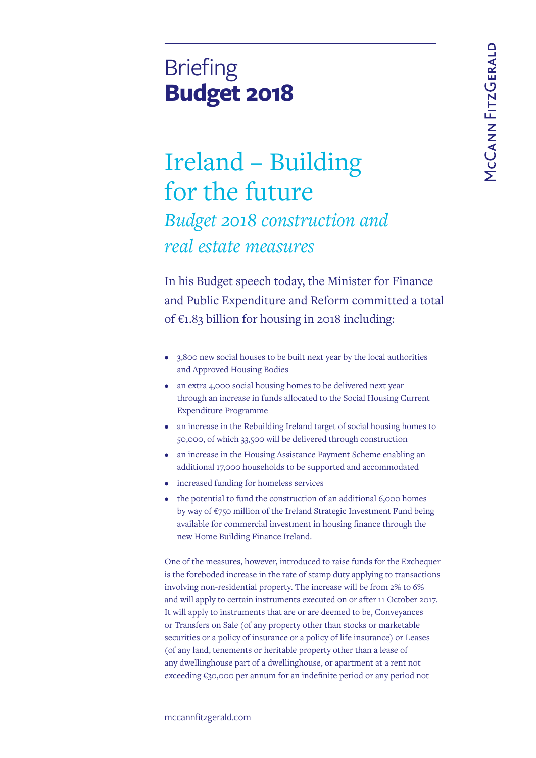# **Briefing Budget 2018**

# Ireland – Building for the future *Budget 2018 construction and real estate measures*

In his Budget speech today, the Minister for Finance and Public Expenditure and Reform committed a total of  $€1.83$  billion for housing in 2018 including:

- 3,800 new social houses to be built next year by the local authorities and Approved Housing Bodies
- an extra 4,000 social housing homes to be delivered next year through an increase in funds allocated to the Social Housing Current Expenditure Programme
- an increase in the Rebuilding Ireland target of social housing homes to 50,000, of which 33,500 will be delivered through construction
- an increase in the Housing Assistance Payment Scheme enabling an additional 17,000 households to be supported and accommodated
- increased funding for homeless services
- the potential to fund the construction of an additional 6,000 homes by way of €750 million of the Ireland Strategic Investment Fund being available for commercial investment in housing finance through the new Home Building Finance Ireland.

One of the measures, however, introduced to raise funds for the Exchequer is the foreboded increase in the rate of stamp duty applying to transactions involving non-residential property. The increase will be from 2% to 6% and will apply to certain instruments executed on or after 11 October 2017. It will apply to instruments that are or are deemed to be, Conveyances or Transfers on Sale (of any property other than stocks or marketable securities or a policy of insurance or a policy of life insurance) or Leases (of any land, tenements or heritable property other than a lease of any dwellinghouse part of a dwellinghouse, or apartment at a rent not exceeding €30,000 per annum for an indefinite period or any period not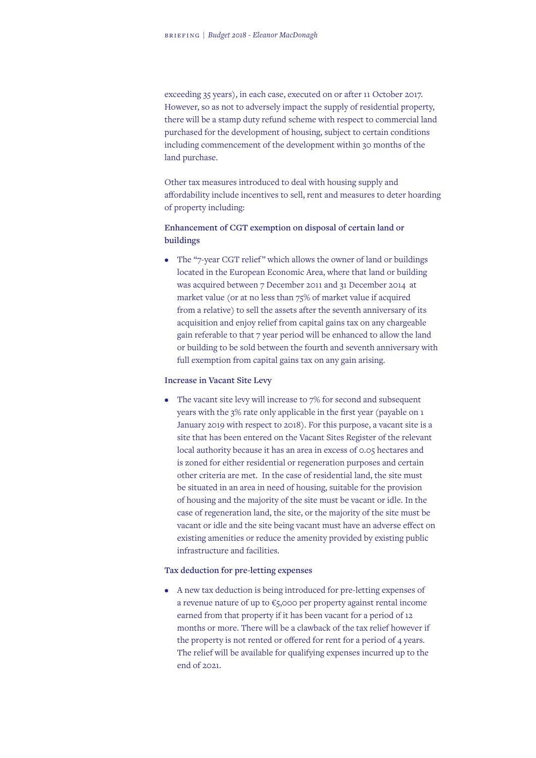exceeding 35 years), in each case, executed on or after 11 October 2017. However, so as not to adversely impact the supply of residential property, there will be a stamp duty refund scheme with respect to commercial land purchased for the development of housing, subject to certain conditions including commencement of the development within 30 months of the land purchase.

Other tax measures introduced to deal with housing supply and affordability include incentives to sell, rent and measures to deter hoarding of property including:

# **Enhancement of CGT exemption on disposal of certain land or buildings**

• The "7-year CGT relief" which allows the owner of land or buildings located in the European Economic Area, where that land or building was acquired between 7 December 2011 and 31 December 2014 at market value (or at no less than 75% of market value if acquired from a relative) to sell the assets after the seventh anniversary of its acquisition and enjoy relief from capital gains tax on any chargeable gain referable to that 7 year period will be enhanced to allow the land or building to be sold between the fourth and seventh anniversary with full exemption from capital gains tax on any gain arising.

### **Increase in Vacant Site Levy**

• The vacant site levy will increase to 7% for second and subsequent years with the 3% rate only applicable in the first year (payable on 1 January 2019 with respect to 2018). For this purpose, a vacant site is a site that has been entered on the Vacant Sites Register of the relevant local authority because it has an area in excess of 0.05 hectares and is zoned for either residential or regeneration purposes and certain other criteria are met. In the case of residential land, the site must be situated in an area in need of housing, suitable for the provision of housing and the majority of the site must be vacant or idle. In the case of regeneration land, the site, or the majority of the site must be vacant or idle and the site being vacant must have an adverse effect on existing amenities or reduce the amenity provided by existing public infrastructure and facilities.

#### **Tax deduction for pre-letting expenses**

• A new tax deduction is being introduced for pre-letting expenses of a revenue nature of up to €5,000 per property against rental income earned from that property if it has been vacant for a period of 12 months or more. There will be a clawback of the tax relief however if the property is not rented or offered for rent for a period of 4 years. The relief will be available for qualifying expenses incurred up to the end of 2021.